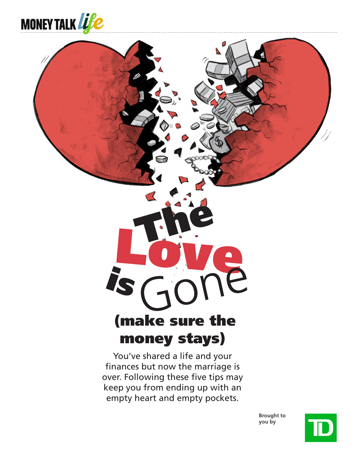

# is Gone (make sure the money stays)

You've shared a life and your finances but now the marriage is over. Following these five tips may keep you from ending up with an **example 19 and 20 and 20 and 20 and 20 and 30 and 30 and 30 and 30 and 30 and 30 and 30 and 30 and 30 and 30 and 30 and 30 and 30 and 30 and 30 and 30 and 30 and 30 and 30 and 30 and 30 and 30 and 30 and 30 and 30 and 30** 

> **Brought to you by**

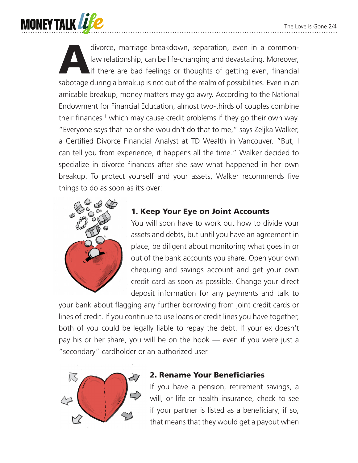

divorce, marriage breakdown, separation, even in a common-<br>law relationship, can be life-changing and devastating. Moreover,<br>if there are bad feelings or thoughts of getting even, financial<br>sebetage during a breakup is not law relationship, can be life-changing and devastating. Moreover, if there are bad feelings or thoughts of getting even, financial sabotage during a breakup is not out of the realm of possibilities. Even in an amicable breakup, money matters may go awry. According to the National Endowment for Financial Education, almost two-thirds of couples combine their finances <sup>1</sup> which may cause credit problems if they go their own way. "Everyone says that he or she wouldn't do that to me," says Zeljka Walker, a Certified Divorce Financial Analyst at TD Wealth in Vancouver. "But, I can tell you from experience, it happens all the time." Walker decided to specialize in divorce finances after she saw what happened in her own breakup. To protect yourself and your assets, Walker recommends five things to do as soon as it's over:



## 1. Keep Your Eye on Joint Accounts

You will soon have to work out how to divide your assets and debts, but until you have an agreement in place, be diligent about monitoring what goes in or out of the bank accounts you share. Open your own chequing and savings account and get your own credit card as soon as possible. Change your direct deposit information for any payments and talk to

your bank about flagging any further borrowing from joint credit cards or lines of credit. If you continue to use loans or credit lines you have together, both of you could be legally liable to repay the debt. If your ex doesn't pay his or her share, you will be on the hook — even if you were just a "secondary" cardholder or an authorized user.



#### 2. Rename Your Beneficiaries

If you have a pension, retirement savings, a will, or life or health insurance, check to see if your partner is listed as a beneficiary; if so, that means that they would get a payout when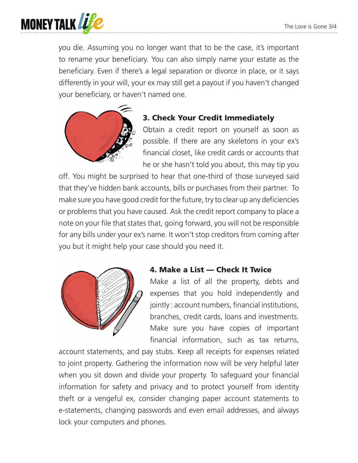

you die. Assuming you no longer want that to be the case, it's important to rename your beneficiary. You can also simply name your estate as the beneficiary. Even if there's a legal separation or divorce in place, or it says differently in your will, your ex may still get a payout if you haven't changed your beneficiary, or haven't named one.



# 3. Check Your Credit Immediately

Obtain a credit report on yourself as soon as possible. If there are any skeletons in your ex's financial closet, like credit cards or accounts that he or she hasn't told you about, this may tip you

off. You might be surprised to hear that one-third of those surveyed said that they've hidden bank accounts, bills or purchases from their partner. To make sure you have good credit for the future, try to clear up any deficiencies or problems that you have caused. Ask the credit report company to place a note on your file that states that, going forward, you will not be responsible for any bills under your ex's name. It won't stop creditors from coming after you but it might help your case should you need it.



### 4. Make a List — Check It Twice

Make a list of all the property, debts and expenses that you hold independently and jointly : account numbers, financial institutions, branches, credit cards, loans and investments. Make sure you have copies of important financial information, such as tax returns,

account statements, and pay stubs. Keep all receipts for expenses related to joint property. Gathering the information now will be very helpful later when you sit down and divide your property. To safeguard your financial information for safety and privacy and to protect yourself from identity theft or a vengeful ex, consider changing paper account statements to e-statements, changing passwords and even email addresses, and always lock your computers and phones.